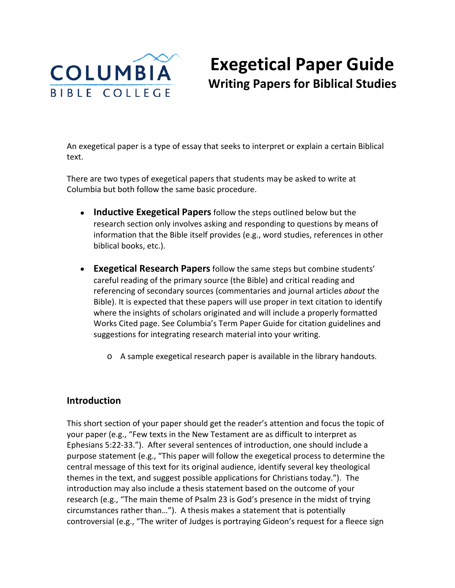

# **Exegetical Paper Guide Writing Papers for Biblical Studies**

An exegetical paper is a type of essay that seeks to interpret or explain a certain Biblical text.

There are two types of exegetical papers that students may be asked to write at Columbia but both follow the same basic procedure.

- **Inductive Exegetical Papers**follow the steps outlined below but the research section only involves asking and responding to questions by means of information that the Bible itself provides (e.g., word studies, references in other biblical books, etc.).
- **Exegetical Research Papers**follow the same steps but combine students' careful reading of the primary source (the Bible) and critical reading and referencing of secondary sources (commentaries and journal articles *about* the Bible). It is expected that these papers will use proper in text citation to identify where the insights of scholars originated and will include a properly formatted Works Cited page. See Columbia's Term Paper Guide for citation guidelines and suggestions for integrating research material into your writing.
	- o A sample exegetical research paper is available in the library handouts.

# **Introduction**

This short section of your paper should get the reader's attention and focus the topic of your paper (e.g., "Few texts in the New Testament are as difficult to interpret as Ephesians 5:22-33."). After several sentences of introduction, one should include a purpose statement (e.g., "This paper will follow the exegetical process to determine the central message of this text for its original audience, identify several key theological themes in the text, and suggest possible applications for Christians today."). The introduction may also include a thesis statement based on the outcome of your research (e.g., "The main theme of Psalm 23 is God's presence in the midst of trying circumstances rather than…"). A thesis makes a statement that is potentially controversial (e.g., "The writer of Judges is portraying Gideon's request for a fleece sign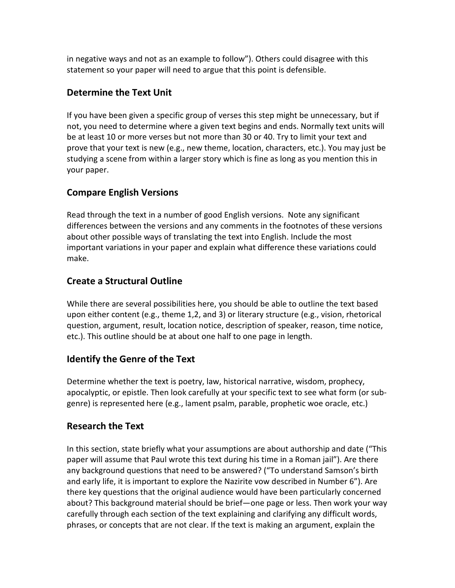in negative ways and not as an example to follow"). Others could disagree with this statement so your paper will need to argue that this point is defensible.

# **Determine the Text Unit**

If you have been given a specific group of verses this step might be unnecessary, but if not, you need to determine where a given text begins and ends. Normally text units will be at least 10 or more verses but not more than 30 or 40. Try to limit your text and prove that your text is new (e.g., new theme, location, characters, etc.). You may just be studying a scene from within a larger story which is fine as long as you mention this in your paper.

# **Compare English Versions**

Read through the text in a number of good English versions. Note any significant differences between the versions and any comments in the footnotes of these versions about other possible ways of translating the text into English. Include the most important variations in your paper and explain what difference these variations could make.

# **Create a Structural Outline**

While there are several possibilities here, you should be able to outline the text based upon either content (e.g., theme 1,2, and 3) or literary structure (e.g., vision, rhetorical question, argument, result, location notice, description of speaker, reason, time notice, etc.). This outline should be at about one half to one page in length.

# **Identify the Genre of the Text**

Determine whether the text is poetry, law, historical narrative, wisdom, prophecy, apocalyptic, or epistle. Then look carefully at your specific text to see what form (or subgenre) is represented here (e.g., lament psalm, parable, prophetic woe oracle, etc.)

# **Research the Text**

In this section, state briefly what your assumptions are about authorship and date ("This paper will assume that Paul wrote this text during his time in a Roman jail"). Are there any background questions that need to be answered? ("To understand Samson's birth and early life, it is important to explore the Nazirite vow described in Number 6"). Are there key questions that the original audience would have been particularly concerned about? This background material should be brief—one page or less. Then work your way carefully through each section of the text explaining and clarifying any difficult words, phrases, or concepts that are not clear. If the text is making an argument, explain the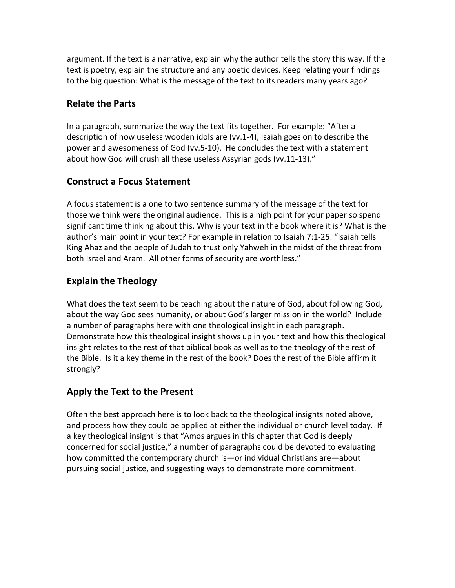argument. If the text is a narrative, explain why the author tells the story this way. If the text is poetry, explain the structure and any poetic devices. Keep relating your findings to the big question: What is the message of the text to its readers many years ago?

# **Relate the Parts**

In a paragraph, summarize the way the text fits together. For example: "After a description of how useless wooden idols are (vv.1-4), Isaiah goes on to describe the power and awesomeness of God (vv.5-10). He concludes the text with a statement about how God will crush all these useless Assyrian gods (vv.11-13)."

# **Construct a Focus Statement**

A focus statement is a one to two sentence summary of the message of the text for those we think were the original audience. This is a high point for your paper so spend significant time thinking about this. Why is your text in the book where it is? What is the author's main point in your text? For example in relation to Isaiah 7:1-25: "Isaiah tells King Ahaz and the people of Judah to trust only Yahweh in the midst of the threat from both Israel and Aram. All other forms of security are worthless."

# **Explain the Theology**

What does the text seem to be teaching about the nature of God, about following God, about the way God sees humanity, or about God's larger mission in the world? Include a number of paragraphs here with one theological insight in each paragraph. Demonstrate how this theological insight shows up in your text and how this theological insight relates to the rest of that biblical book as well as to the theology of the rest of the Bible. Is it a key theme in the rest of the book? Does the rest of the Bible affirm it strongly?

# **Apply the Text to the Present**

Often the best approach here is to look back to the theological insights noted above, and process how they could be applied at either the individual or church level today. If a key theological insight is that "Amos argues in this chapter that God is deeply concerned for social justice," a number of paragraphs could be devoted to evaluating how committed the contemporary church is—or individual Christians are—about pursuing social justice, and suggesting ways to demonstrate more commitment.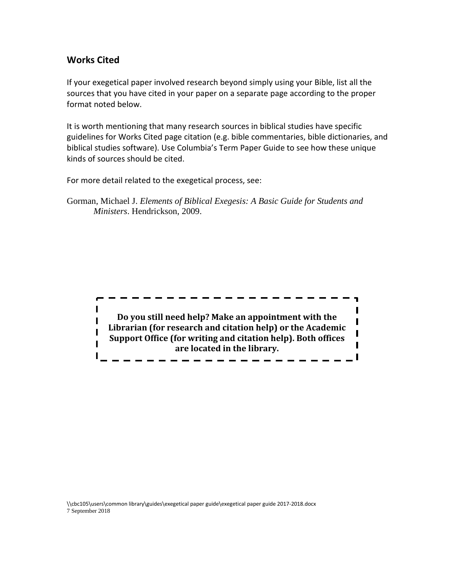## **Works Cited**

If your exegetical paper involved research beyond simply using your Bible, list all the sources that you have cited in your paper on a separate page according to the proper format noted below.

It is worth mentioning that many research sources in biblical studies have specific guidelines for Works Cited page citation (e.g. bible commentaries, bible dictionaries, and biblical studies software). Use Columbia's Term Paper Guide to see how these unique kinds of sources should be cited.

For more detail related to the exegetical process, see:

Gorman, Michael J. *Elements of Biblical Exegesis: A Basic Guide for Students and Ministers*. Hendrickson, 2009.

**Do you still need help? Make an appointment with the Librarian (for research and citation help) or the Academic Support Office (for writing and citation help). Both offices are located in the library.**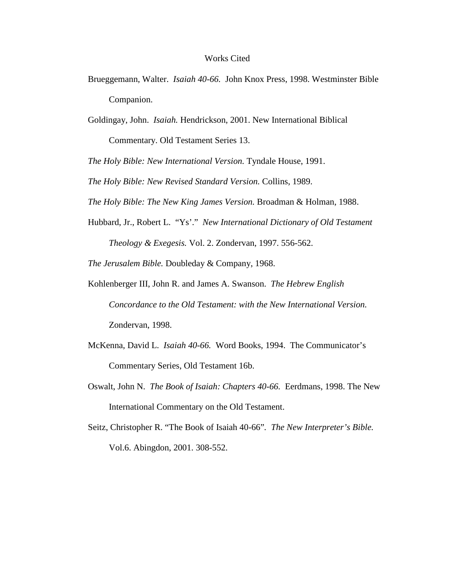#### Works Cited

- Brueggemann, Walter. *Isaiah 40-66.* John Knox Press, 1998. Westminster Bible Companion.
- Goldingay, John. *Isaiah.* Hendrickson, 2001. New International Biblical

Commentary. Old Testament Series 13.

*The Holy Bible: New International Version.* Tyndale House, 1991.

*The Holy Bible: New Revised Standard Version.* Collins, 1989.

*The Holy Bible: The New King James Version.* Broadman & Holman, 1988.

Hubbard, Jr., Robert L. "Ys'." *New International Dictionary of Old Testament Theology & Exegesis.* Vol. 2. Zondervan, 1997. 556-562.

*The Jerusalem Bible.* Doubleday & Company, 1968.

- Kohlenberger III, John R. and James A. Swanson. *The Hebrew English Concordance to the Old Testament: with the New International Version.*  Zondervan, 1998.
- McKenna, David L. *Isaiah 40-66.* Word Books, 1994. The Communicator's Commentary Series, Old Testament 16b.
- Oswalt, John N. *The Book of Isaiah: Chapters 40-66.* Eerdmans, 1998. The New International Commentary on the Old Testament.
- Seitz, Christopher R. "The Book of Isaiah 40-66"*. The New Interpreter's Bible.*  Vol.6. Abingdon, 2001. 308-552.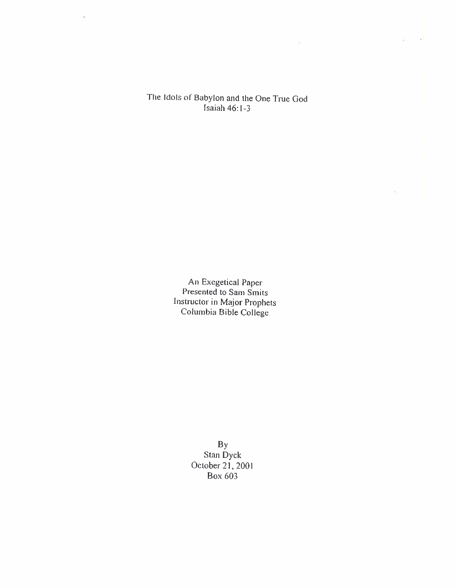## The Idols of Babylon and the One True God Isaiah  $46:1-3$

State of the Control

 $\mathbf{r}$ 

An Exegetical Paper<br>Presented to Sam Smits Instructor in Major Prophets<br>Columbia Bible College

> By<br>Stan Dyck October 21, 2001 **Box 603**

 $\mathbf{r}$  .  $\mathcal{L}^{\mathcal{L}}$ 

 $\bar{z}$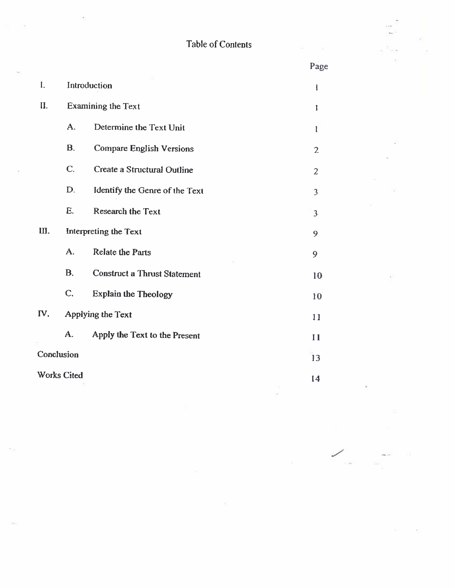|  | Table of Contents |
|--|-------------------|
|  |                   |

 $\hat{P}^{(1)}_{\lambda}$ 

 $\overline{\mathcal{D}}$ 

 $\omega_{\rm c}$ 

 $\bar{z}$ 

 $\sim 20$ 

 $\overline{\mathcal{O}}$ 

 $\epsilon$ 

第二回の

b)

5(s)

|                    |                       | Table of Contents                   |                         |
|--------------------|-----------------------|-------------------------------------|-------------------------|
|                    |                       |                                     | Page                    |
| $\mathbf{I}$ .     | Introduction          |                                     | 1                       |
| II.                | Examining the Text    |                                     | 1                       |
|                    | A.                    | Determine the Text Unit             | $\mathbf{I}$            |
|                    | <b>B.</b>             | <b>Compare English Versions</b>     | $\overline{2}$          |
|                    | C.                    | Create a Structural Outline         | $\overline{2}$          |
|                    | D.                    | Identify the Genre of the Text      | $\overline{\mathbf{3}}$ |
|                    | E.                    | <b>Research the Text</b>            | 3                       |
| III.               | Interpreting the Text |                                     | 9                       |
|                    | A.                    | <b>Relate the Parts</b>             | 9                       |
|                    | <b>B.</b>             | <b>Construct a Thrust Statement</b> | 10                      |
|                    | C.                    | <b>Explain the Theology</b>         | 10                      |
| IV.                | Applying the Text     |                                     | 11                      |
|                    | A.                    | Apply the Text to the Present       | 11                      |
| Conclusion         |                       | 13                                  |                         |
| <b>Works Cited</b> |                       | 14                                  |                         |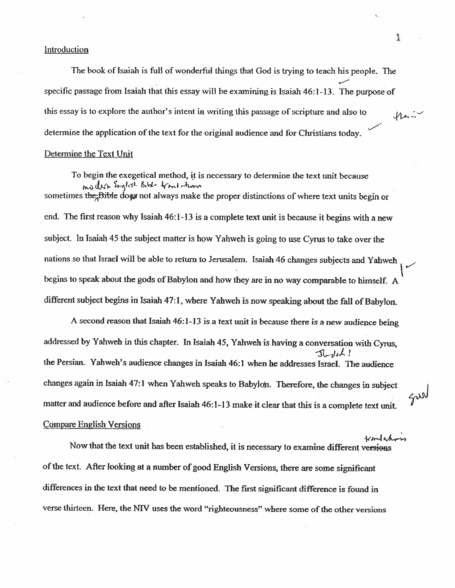## Introduction

The book of Isaiah is full of wonderful things that God is trying to teach his people. The specific passage from Isaiah that this essay will be examining is Isaiah 46:1-13. The purpose of this essay is to explore the author's intent in writing this passage of scripture and also to  $M = -1$ determine the application of the text for the original audience and for Christians today.

#### Determine the Text Unit

To begin the exegetical method, it is necessary to determine the text unit because ma dech English Bible from whom sometimes the Bible does not always make the proper distinctions of where text units begin or end. The first reason why Isaiah 46:1-13 is a complete text unit is because it begins with a new subject. In Isaiah 45 the subject matter is how Yahweh is going to use Cyrus to take over the nations so that Israel will be able to return to Jerusalem. Isaiah 46 changes subjects and Yahweh begins to speak about the gods of Babylon and how they are in no way comparable to himself. A different subject begins in Isaiah 47:1, where Yahweh is now speaking about the fall of Babylon.

A second reason that Isaiah 46:1-13 is a text unit is because there is a new audience being addressed by Yahweh in this chapter. In Isaiah 45, Yahweh is having a conversation with Cyrus,  $J_{b}J_{b}L$ the Persian. Yahweh's audience changes in Isaiah 46:1 when he addresses Israel. The audience changes again in Isaiah 47:1 when Yahweh speaks to Babylon. Therefore, the changes in subject matter and audience before and after Isaiah 46:1-13 make it clear that this is a complete text unit. **Compare English Versions** 

Now that the text unit has been established, it is necessary to examine different versions of the text. After looking at a number of good English Versions, there are some significant differences in the text that need to be mentioned. The first significant difference is found in verse thirteen. Here, the NIV uses the word "righteousness" where some of the other versions

1

gur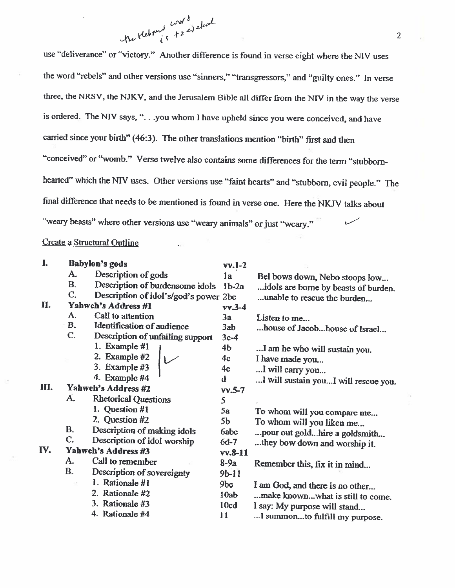

use "deliverance" or "victory." Another difference is found in verse eight where the NIV uses the word "rebels" and other versions use "sinners," "transgressors," and "guilty ones." In verse three, the NRSV, the NJKV, and the Jerusalem Bible all differ from the NIV in the way the verse is ordered. The NIV says, "... you whom I have upheld since you were conceived, and have carried since your birth" (46:3). The other translations mention "birth" first and then "conceived" or "womb." Verse twelve also contains some differences for the term "stubbornhearted" which the NIV uses. Other versions use "faint hearts" and "stubborn, evil people." The final difference that needs to be mentioned is found in verse one. Here the NKJV talks about "weary beasts" where other versions use "weary animals" or just "weary."

Create a Structural Outline

| I.   |                | Babylon's gods                        | $vv.1-2$        |                                      |
|------|----------------|---------------------------------------|-----------------|--------------------------------------|
|      | A.             | Description of gods                   | la              | Bel bows down, Nebo stoops low       |
|      | <b>B.</b>      | Description of burdensome idols       | $1b-2a$         | idols are borne by beasts of burden. |
|      | C.             | Description of idol's/god's power 2bc |                 | unable to rescue the burden          |
| П.   |                | Yahweh's Address #1                   | $vv.3-4$        |                                      |
|      | A.             | Call to attention                     | 3a              | Listen to me                         |
|      | <b>B.</b>      | Identification of audience            | 3ab             | house of Jacobhouse of Israel        |
|      | C.             | Description of unfailing support      | $3c-4$          |                                      |
|      |                | 1. Example #1                         | 4 <sub>b</sub>  | I am he who will sustain you.        |
|      |                | 2. Example $#2$                       | 4c              | I have made you                      |
|      |                | 3. Example $#3$                       | 4 <sub>c</sub>  | I will carry you                     |
|      |                | 4. Example #4                         | d               | I will sustain youI will rescue you. |
| III. |                | Yahweh's Address #2                   | $vv.5-7$        |                                      |
|      | A.             | <b>Rhetorical Questions</b>           | 5               |                                      |
|      |                | 1. Question #1                        | 5a              | To whom will you compare me          |
|      |                | 2. Question #2                        | 5 <sub>b</sub>  | To whom will you liken me            |
|      | В.             | Description of making idols           | 6abc            | pour out gold hire a goldsmith       |
|      | C.             | Description of idol worship           | $6d-7$          | they bow down and worship it.        |
| IV.  |                | Yahweh's Address #3<br>$v$ v.8-11     |                 |                                      |
|      | A.             | Call to remember                      | $8-9a$          | Remember this, fix it in mind        |
|      | $\mathbf{B}$ . | Description of sovereignty            | $9b-11$         |                                      |
|      |                | 1. Rationale #1                       | 9 <sub>bc</sub> | I am God, and there is no other      |
|      |                | 2. Rationale #2                       | 10ab            | make knownwhat is still to come.     |
|      |                | 3. Rationale #3                       | 10cd            | I say: My purpose will stand         |
|      |                | 4. Rationale #4                       | 11              | I summonto fulfill my numose         |

 $\overline{2}$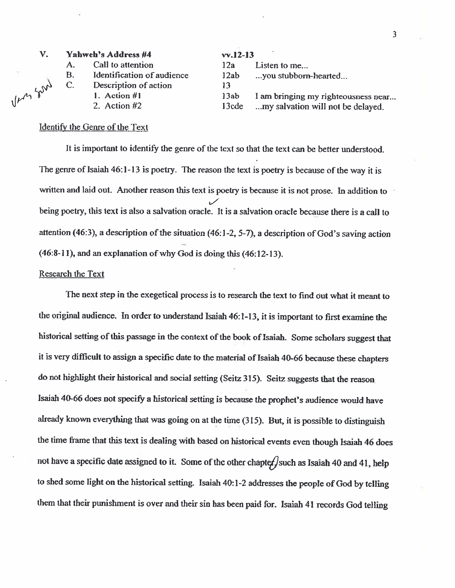#### Vahweh's Address #4 V.

|                |                            | .    |               |
|----------------|----------------------------|------|---------------|
| $\mathbf{A}$ . | Call to attention          | 12a  | Listen to me  |
| <b>B.</b>      | Identification of audience | 12ab | you stubborn  |
| $\mathbf{C}$ . | Description of action      | 13   |               |
|                | 1. Action $#$ ]            | 13ab | I am bringing |

n-hearted... my righteousness near... 13cde ...my salvation will not be delayed.

## Identify the Genre of the Text

2. Action #2

Um son

It is important to identify the genre of the text so that the text can be better understood. The genre of Isaiah 46:1-13 is poetry. The reason the text is poetry is because of the way it is written and laid out. Another reason this text is poetry is because it is not prose. In addition to being poetry, this text is also a salvation oracle. It is a salvation oracle because there is a call to attention (46:3), a description of the situation (46:1-2, 5-7), a description of God's saving action (46:8-11), and an explanation of why God is doing this (46:12-13).

 $vv 12.13$ 

## **Research the Text**

The next step in the exegetical process is to research the text to find out what it meant to the original audience. In order to understand Isaiah 46:1-13, it is important to first examine the historical setting of this passage in the context of the book of Isaiah. Some scholars suggest that it is very difficult to assign a specific date to the material of Isaiah 40-66 because these chapters do not highlight their historical and social setting (Seitz 315). Seitz suggests that the reason Isaiah 40-66 does not specify a historical setting is because the prophet's audience would have already known everything that was going on at the time (315). But, it is possible to distinguish the time frame that this text is dealing with based on historical events even though Isaiah 46 does not have a specific date assigned to it. Some of the other chapter / such as Isaiah 40 and 41, help to shed some light on the historical setting. Isaiah 40:1-2 addresses the people of God by telling them that their punishment is over and their sin has been paid for. Isaiah 41 records God telling

 $\overline{3}$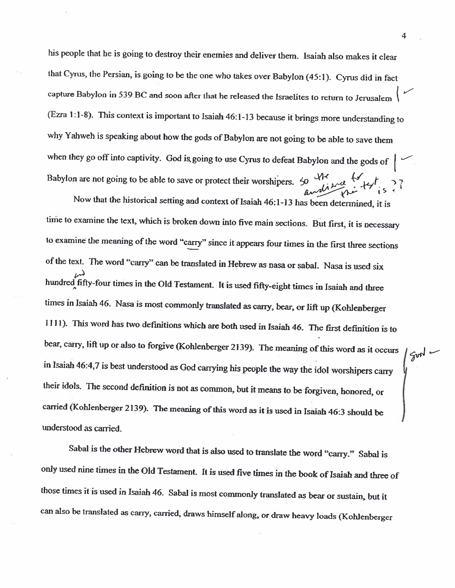his people that he is going to destroy their enemies and deliver them. Isaiah also makes it clear that Cyrus, the Persian, is going to be the one who takes over Babylon (45:1). Cyrus did in fact capture Babylon in 539 BC and soon after that he released the Israelites to return to Jerusalem (Ezra 1:1-8). This context is important to Isaiah 46:1-13 because it brings more understanding to why Yahweh is speaking about how the gods of Babylon are not going to be able to save them when they go off into captivity. God is going to use Cyrus to defeat Babylon and the gods of  $\left| \right|$ Babylon are not going to be able to save or protect their worshipers.  $50 - 416$ 

Now that the historical setting and context of Isaiah 46:1-13 has been determined, it is time to examine the text, which is broken down into five main sections. But first, it is necessary to examine the meaning of the word "carry" since it appears four times in the first three sections of the text. The word "carry" can be translated in Hebrew as nasa or sabal. Nasa is used six hundred fifty-four times in the Old Testament. It is used fifty-eight times in Isaiah and three times in Isaiah 46. Nasa is most commonly translated as carry, bear, or lift up (Kohlenberger 1111). This word has two definitions which are both used in Isaiah 46. The first definition is to bear, carry, lift up or also to forgive (Kohlenberger 2139). The meaning of this word as it occurs in Isaiah 46:4,7 is best understood as God carrying his people the way the idol worshipers carry their idols. The second definition is not as common, but it means to be forgiven, honored, or carried (Kohlenberger 2139). The meaning of this word as it is used in Isaiah 46:3 should be understood as carried.

Sabal is the other Hebrew word that is also used to translate the word "carry." Sabal is only used nine times in the Old Testament. It is used five times in the book of Isaiah and three of those times it is used in Isaiah 46. Sabal is most commonly translated as bear or sustain, but it can also be translated as carry, carried, draws himself along, or draw heavy loads (Kohlenberger

4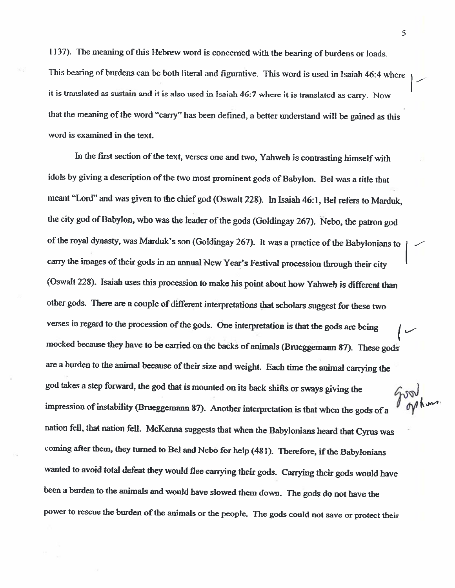1137). The meaning of this Hebrew word is concerned with the bearing of burdens or loads. This bearing of burdens can be both literal and figurative. This word is used in Isaiah 46:4 where it is translated as sustain and it is also used in Isaiah 46:7 where it is translated as carry. Now that the meaning of the word "carry" has been defined, a better understand will be gained as this word is examined in the text.

In the first section of the text, verses one and two, Yahweh is contrasting himself with idols by giving a description of the two most prominent gods of Babylon. Bel was a title that meant "Lord" and was given to the chief god (Oswalt 228). In Isaiah 46:1, Bel refers to Marduk, the city god of Babylon, who was the leader of the gods (Goldingay 267). Nebo, the patron god of the royal dynasty, was Marduk's son (Goldingay 267). It was a practice of the Babylonians to carry the images of their gods in an annual New Year's Festival procession through their city (Oswalt 228). Isaiah uses this procession to make his point about how Yahweh is different than other gods. There are a couple of different interpretations that scholars suggest for these two verses in regard to the procession of the gods. One interpretation is that the gods are being mocked because they have to be carried on the backs of animals (Brueggemann 87). These gods are a burden to the animal because of their size and weight. Each time the animal carrying the god takes a step forward, the god that is mounted on its back shifts or sways giving the noor<br>*nahm* impression of instability (Brueggemann 87). Another interpretation is that when the gods of a nation fell, that nation fell. McKenna suggests that when the Babylonians heard that Cyrus was coming after them, they turned to Bel and Nebo for help (481). Therefore, if the Babylonians wanted to avoid total defeat they would flee carrying their gods. Carrying their gods would have been a burden to the animals and would have slowed them down. The gods do not have the power to rescue the burden of the animals or the people. The gods could not save or protect their

5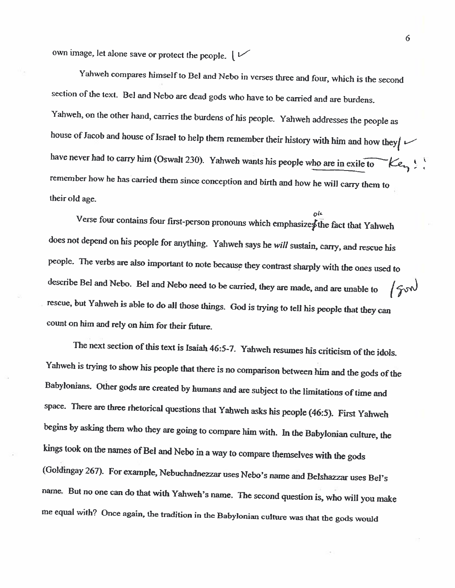own image, let alone save or protect the people.  $\sqrt{\phantom{a}}$ 

Yahweh compares himself to Bel and Nebo in verses three and four, which is the second section of the text. Bel and Nebo are dead gods who have to be carried and are burdens. Yahweh, on the other hand, carries the burdens of his people. Yahweh addresses the people as house of Jacob and house of Israel to help them remember their history with him and how they  $\sim$ have never had to carry him (Oswalt 230). Yahweh wants his people who are in exile to  $\mathcal{K}e_{\mathbf{r}_1}$ . remember how he has carried them since conception and birth and how he will carry them to their old age.

ء≀ه Verse four contains four first-person pronouns which emphasizes the fact that Yahweh does not depend on his people for anything. Yahweh says he will sustain, carry, and rescue his people. The verbs are also important to note because they contrast sharply with the ones used to describe Bel and Nebo. Bel and Nebo need to be carried, they are made, and are unable to  $\sqrt{3}$ rescue, but Yahweh is able to do all those things. God is trying to tell his people that they can count on him and rely on him for their future.

The next section of this text is Isaiah 46:5-7. Yahweh resumes his criticism of the idols. Yahweh is trying to show his people that there is no comparison between him and the gods of the Babylonians. Other gods are created by humans and are subject to the limitations of time and space. There are three rhetorical questions that Yahweh asks his people (46:5). First Yahweh begins by asking them who they are going to compare him with. In the Babylonian culture, the kings took on the names of Bel and Nebo in a way to compare themselves with the gods (Goldingay 267). For example, Nebuchadnezzar uses Nebo's name and Belshazzar uses Bel's name. But no one can do that with Yahweh's name. The second question is, who will you make me equal with? Once again, the tradition in the Babylonian culture was that the gods would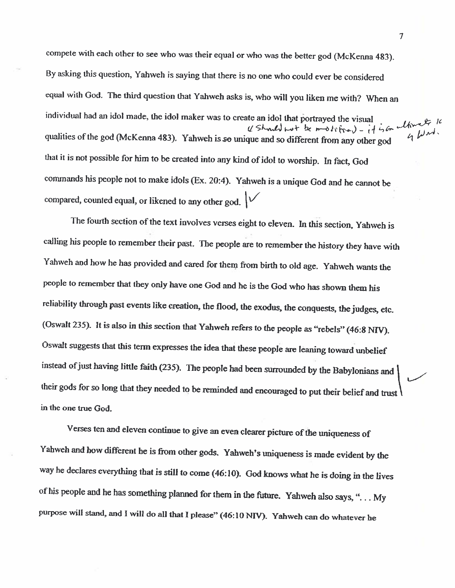compete with each other to see who was their equal or who was the better god (McKenna 483). By asking this question, Yahweh is saying that there is no one who could ever be considered equal with God. The third question that Yahweh asks is, who will you liken me with? When an individual had an idol made, the idol maker was to create an idol that portrayed the visual (Should not be modeline) - it is in alternative  $40<sup>nd</sup>$ qualities of the god (McKenna 483). Yahweh is so unique and so different from any other god that it is not possible for him to be created into any kind of idol to worship. In fact, God commands his people not to make idols (Ex. 20:4). Yahweh is a unique God and he cannot be compared, counted equal, or likened to any other god.  $\sqrt{\phantom{a}}$ 

The fourth section of the text involves verses eight to eleven. In this section, Yahweh is calling his people to remember their past. The people are to remember the history they have with Yahweh and how he has provided and cared for them from birth to old age. Yahweh wants the people to remember that they only have one God and he is the God who has shown them his reliability through past events like creation, the flood, the exodus, the conquests, the judges, etc. (Oswalt 235). It is also in this section that Yahweh refers to the people as "rebels" (46:8 NIV). Oswalt suggests that this term expresses the idea that these people are leaning toward unbelief instead of just having little faith (235). The people had been surrounded by the Babylonians and their gods for so long that they needed to be reminded and encouraged to put their belief and trust in the one true God.

Verses ten and eleven continue to give an even clearer picture of the uniqueness of Yahweh and how different he is from other gods. Yahweh's uniqueness is made evident by the way he declares everything that is still to come (46:10). God knows what he is doing in the lives of his people and he has something planned for them in the future. Yahweh also says, "... My purpose will stand, and I will do all that I please" (46:10 NIV). Yahweh can do whatever he

 $\tau$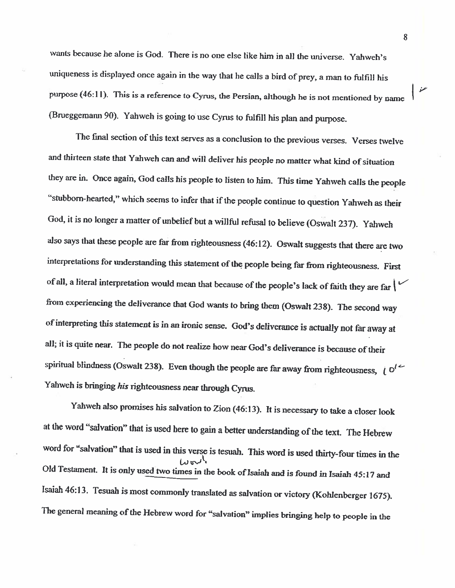wants because he alone is God. There is no one else like him in all the universe. Yahweh's uniqueness is displayed once again in the way that he calls a bird of prey, a man to fulfill his purpose (46:11). This is a reference to Cyrus, the Persian, although he is not mentioned by name (Brueggemann 90). Yahweh is going to use Cyrus to fulfill his plan and purpose.

The final section of this text serves as a conclusion to the previous verses. Verses twelve and thirteen state that Yahweh can and will deliver his people no matter what kind of situation they are in. Once again, God calls his people to listen to him. This time Yahweh calls the people "stubborn-hearted," which seems to infer that if the people continue to question Yahweh as their God, it is no longer a matter of unbelief but a willful refusal to believe (Oswalt 237). Yahweh also says that these people are far from righteousness (46:12). Oswalt suggests that there are two interpretations for understanding this statement of the people being far from righteousness. First of all, a literal interpretation would mean that because of the people's lack of faith they are far  $\vert \vee$ from experiencing the deliverance that God wants to bring them (Oswalt 238). The second way of interpreting this statement is in an ironic sense. God's deliverance is actually not far away at all; it is quite near. The people do not realize how near God's deliverance is because of their spiritual blindness (Oswalt 238). Even though the people are far away from righteousness,  $i \circ i$ Yahweh is bringing his righteousness near through Cyrus.

Yahweh also promises his salvation to Zion (46:13). It is necessary to take a closer look at the word "salvation" that is used here to gain a better understanding of the text. The Hebrew word for "salvation" that is used in this verse is tesuah. This word is used thirty-four times in the Old Testament. It is only used two times in the book of Isaiah and is found in Isaiah 45:17 and Isaiah 46:13. Tesuah is most commonly translated as salvation or victory (Kohlenberger 1675). The general meaning of the Hebrew word for "salvation" implies bringing help to people in the

8

عز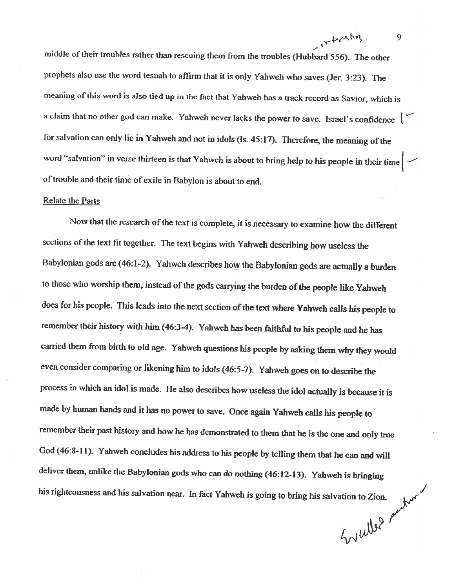middle of their troubles rather than rescuing them from the troubles (Hubbard 556). The other prophets also use the word tesuah to affirm that it is only Yahweh who saves (Jer. 3:23). The meaning of this word is also tied up in the fact that Yahweh has a track record as Savior, which is a claim that no other god can make. Yahweh never lacks the power to save. Israel's confidence  $\vert \hspace{-.07cm} \vert$ for salvation can only lie in Yahweh and not in idols (Is. 45:17). Therefore, the meaning of the word "salvation" in verse thirteen is that Yahweh is about to bring help to his people in their time  $\vert \hspace{.1cm} \vert$ of trouble and their time of exile in Babylon is about to end.

## **Relate the Parts**

Now that the research of the text is complete, it is necessary to examine how the different sections of the text fit together. The text begins with Yahweh describing how useless the Babylonian gods are (46:1-2). Yahweh describes how the Babylonian gods are actually a burden to those who worship them, instead of the gods carrying the burden of the people like Yahweh does for his people. This leads into the next section of the text where Yahweh calls his people to remember their history with him (46:3-4). Yahweh has been faithful to his people and he has carried them from birth to old age. Yahweh questions his people by asking them why they would even consider comparing or likening him to idols (46:5-7). Yahweh goes on to describe the process in which an idol is made. He also describes how useless the idol actually is because it is made by human hands and it has no power to save. Once again Yahweh calls his people to remember their past history and how he has demonstrated to them that he is the one and only true God (46:8-11). Yahweh concludes his address to his people by telling them that he can and will deliver them, unlike the Babylonian gods who can do nothing (46:12-13). Yahweh is bringing Engelber schatzer his righteousness and his salvation near. In fact Yahweh is going to bring his salvation to Zion.

9

intersing.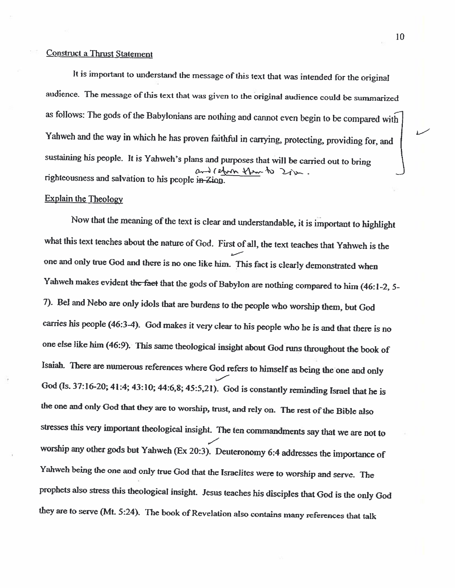## **Construct a Thrust Statement**

It is important to understand the message of this text that was intended for the original audience. The message of this text that was given to the original audience could be summarized as follows: The gods of the Babylonians are nothing and cannot even begin to be compared with Yahweh and the way in which he has proven faithful in carrying, protecting, providing for, and sustaining his people. It is Yahweh's plans and purposes that will be carried out to bring and reform them to 2 ju. righteousness and salvation to his people in Zion.

## **Explain the Theology**

Now that the meaning of the text is clear and understandable, it is important to highlight what this text teaches about the nature of God. First of all, the text teaches that Yahweh is the one and only true God and there is no one like him. This fact is clearly demonstrated when Yahweh makes evident the faet that the gods of Babylon are nothing compared to him (46:1-2, 5-7). Bel and Nebo are only idols that are burdens to the people who worship them, but God carries his people (46:3-4). God makes it very clear to his people who he is and that there is no one else like him (46:9). This same theological insight about God runs throughout the book of Isaiah. There are numerous references where God refers to himself as being the one and only God (Is. 37:16-20; 41:4; 43:10; 44:6,8; 45:5,21). God is constantly reminding Israel that he is the one and only God that they are to worship, trust, and rely on. The rest of the Bible also stresses this very important theological insight. The ten commandments say that we are not to worship any other gods but Yahweh (Ex 20:3). Deuteronomy 6:4 addresses the importance of Yahweh being the one and only true God that the Israelites were to worship and serve. The prophets also stress this theological insight. Jesus teaches his disciples that God is the only God they are to serve (Mt. 5:24). The book of Revelation also contains many references that talk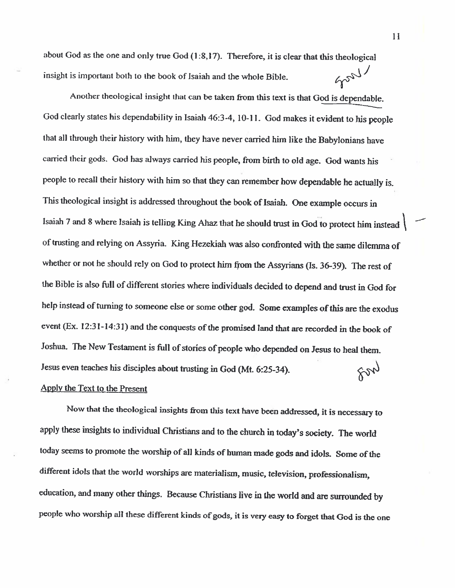about God as the one and only true God (1:8,17). Therefore, it is clear that this theological Soory insight is important both to the book of Isaiah and the whole Bible.

Another theological insight that can be taken from this text is that God is dependable. God clearly states his dependability in Isaiah 46:3-4, 10-11. God makes it evident to his people that all through their history with him, they have never carried him like the Babylonians have carried their gods. God has always carried his people, from birth to old age. God wants his people to recall their history with him so that they can remember how dependable he actually is. This theological insight is addressed throughout the book of Isaiah. One example occurs in Isaiah 7 and 8 where Isaiah is telling King Ahaz that he should trust in God to protect him instead of trusting and relying on Assyria. King Hezekiah was also confronted with the same dilemma of whether or not he should rely on God to protect him from the Assyrians (Is. 36-39). The rest of the Bible is also full of different stories where individuals decided to depend and trust in God for help instead of turning to someone else or some other god. Some examples of this are the exodus event (Ex. 12:31-14:31) and the conquests of the promised land that are recorded in the book of Joshua. The New Testament is full of stories of people who depended on Jesus to heal them. Ford Jesus even teaches his disciples about trusting in God (Mt. 6:25-34). Apply the Text to the Present

Now that the theological insights from this text have been addressed, it is necessary to apply these insights to individual Christians and to the church in today's society. The world today seems to promote the worship of all kinds of human made gods and idols. Some of the different idols that the world worships are materialism, music, television, professionalism, education, and many other things. Because Christians live in the world and are surrounded by people who worship all these different kinds of gods, it is very easy to forget that God is the one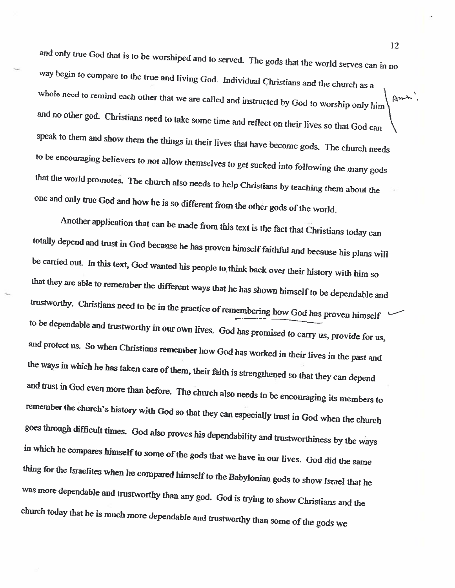and only true God that is to be worshiped and to served. The gods that the world serves can in no way begin to compare to the true and living God. Individual Christians and the church as a whole need to remind each other that we are called and instructed by God to worship only him Ams. and no other god. Christians need to take some time and reflect on their lives so that God can speak to them and show them the things in their lives that have become gods. The church needs to be encouraging believers to not allow themselves to get sucked into following the many gods that the world promotes. The church also needs to help Christians by teaching them about the one and only true God and how he is so different from the other gods of the world.

Another application that can be made from this text is the fact that Christians today can totally depend and trust in God because he has proven himself faithful and because his plans will be carried out. In this text, God wanted his people to think back over their history with him so that they are able to remember the different ways that he has shown himself to be dependable and trustworthy. Christians need to be in the practice of remembering how God has proven himself to be dependable and trustworthy in our own lives. God has promised to carry us, provide for us, and protect us. So when Christians remember how God has worked in their lives in the past and the ways in which he has taken care of them, their faith is strengthened so that they can depend and trust in God even more than before. The church also needs to be encouraging its members to remember the church's history with God so that they can especially trust in God when the church goes through difficult times. God also proves his dependability and trustworthiness by the ways in which he compares himself to some of the gods that we have in our lives. God did the same thing for the Israelites when he compared himself to the Babylonian gods to show Israel that he was more dependable and trustworthy than any god. God is trying to show Christians and the church today that he is much more dependable and trustworthy than some of the gods we

 $12<sup>2</sup>$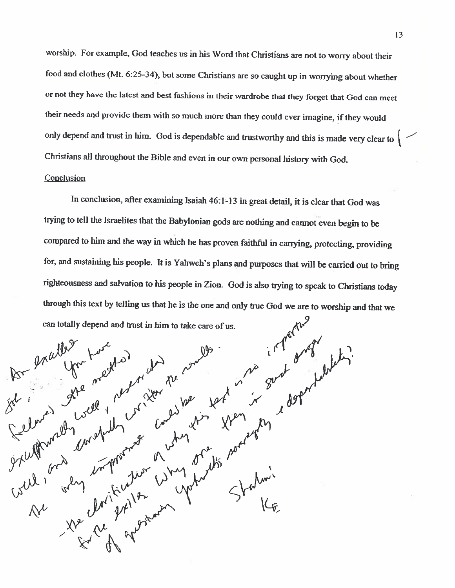worship. For example, God teaches us in his Word that Christians are not to worry about their food and clothes (Mt. 6:25-34), but some Christians are so caught up in worrying about whether or not they have the latest and best fashions in their wardrobe that they forget that God can meet their needs and provide them with so much more than they could ever imagine, if they would only depend and trust in him. God is dependable and trustworthy and this is made very clear to | -Christians all throughout the Bible and even in our own personal history with God.

## Conclusion

In conclusion, after examining Isaiah 46:1-13 in great detail, it is clear that God was trying to tell the Israelites that the Babylonian gods are nothing and cannot even begin to be compared to him and the way in which he has proven faithful in carrying, protecting, providing for, and sustaining his people. It is Yahweh's plans and purposes that will be carried out to bring righteousness and salvation to his people in Zion. God is also trying to speak to Christians today through this text by telling us that he is the one and only true God we are to worship and that we can totally depend and trust in him to take care of us.